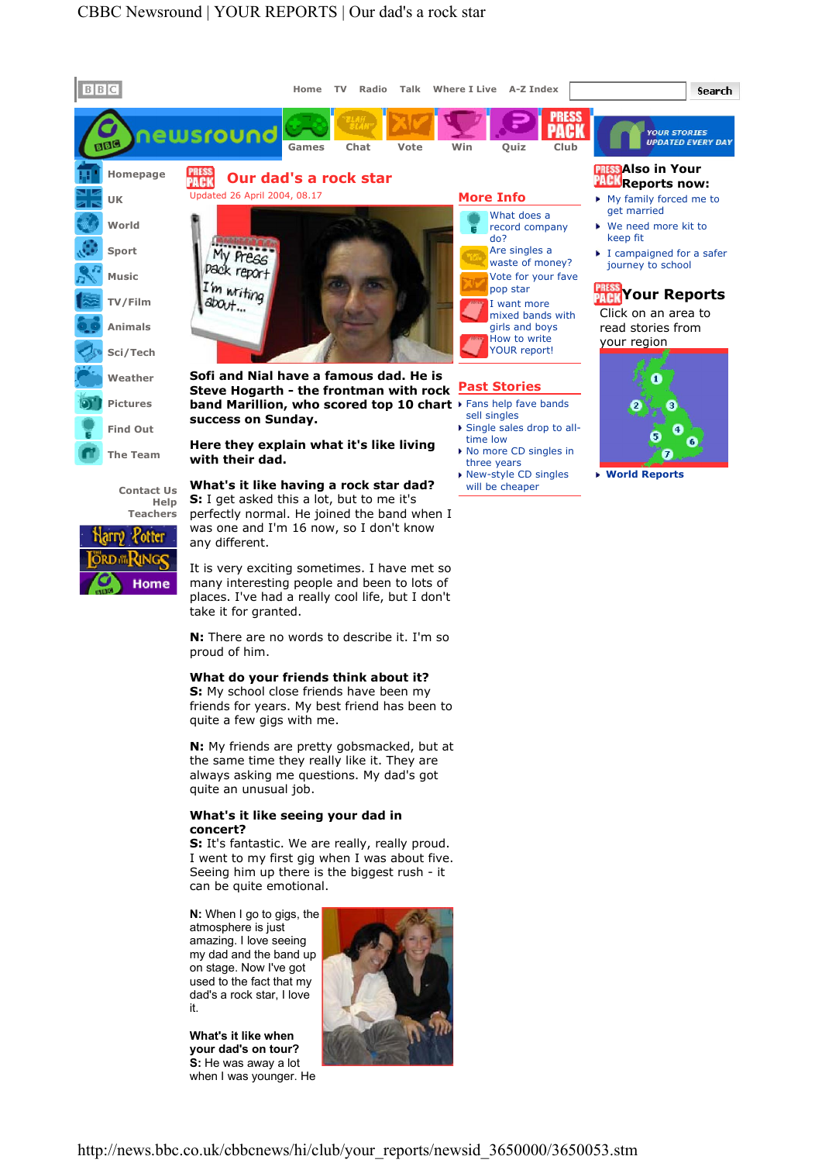

http://news.bbc.co.uk/cbbcnews/hi/club/your\_reports/newsid\_3650000/3650053.stm

N: When I go to gigs, the atmosphere is just amazing. I love seeing my dad and the band up on stage. Now I've got used to the fact that my dad's a rock star, I love it.

can be quite emotional.

quite an unusual job.

concert?

What's it like when your dad's on tour? S: He was away a lot when I was younger. He



N: My friends are pretty gobsmacked, but at the same time they really like it. They are always asking me questions. My dad's got

S: It's fantastic. We are really, really proud. I went to my first gig when I was about five. Seeing him up there is the biggest rush - it

What's it like seeing your dad in